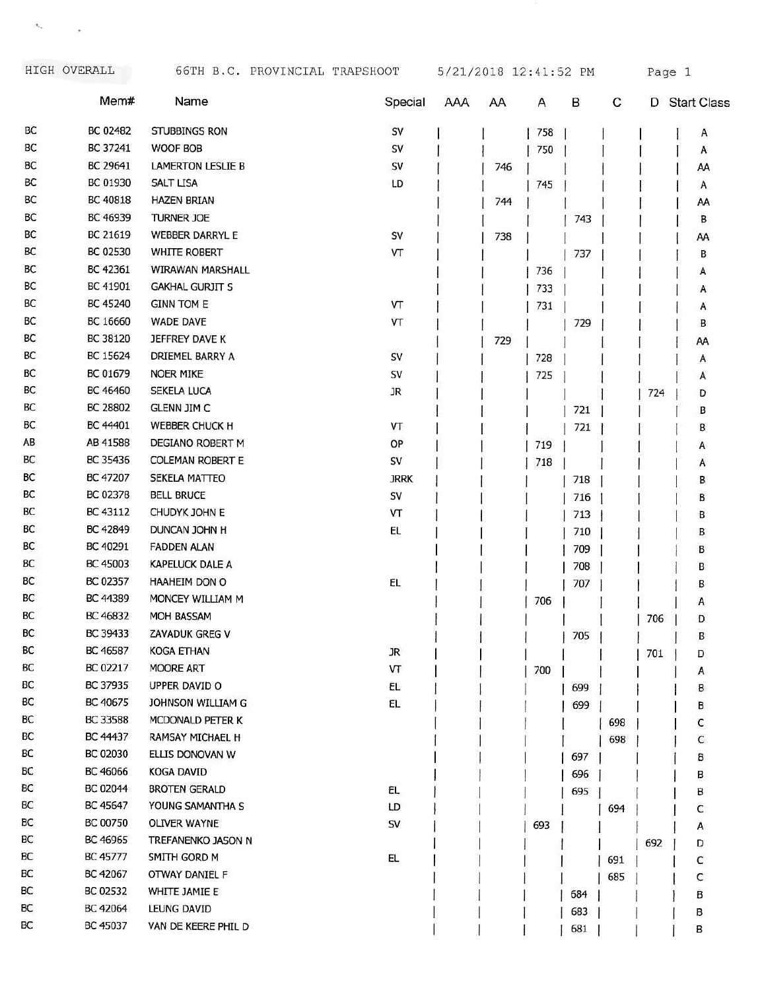$\mathcal{F}_{\mathcal{G}}$  . <br> <br>  $\mathcal{F}_{\mathcal{G}}$ 

|    | Mem#     | Name                     | Special     | AAA | AA  | Α   | В   | С   | D   | <b>Start Class</b> |
|----|----------|--------------------------|-------------|-----|-----|-----|-----|-----|-----|--------------------|
| BC | BC 02482 | STUBBINGS RON            | SV          |     |     | 758 |     |     |     | A                  |
| BC | BC 37241 | WOOF BOB                 | SV          |     |     | 750 |     |     |     | А                  |
| BC | BC 29641 | <b>LAMERTON LESLIE B</b> | SV          |     | 746 |     |     |     |     | AA                 |
| ВC | BC 01930 | <b>SALT LISA</b>         | LD          |     |     | 745 |     |     |     | A                  |
| ВC | BC 40818 | <b>HAZEN BRIAN</b>       |             |     | 744 |     |     |     |     | AA                 |
| ВC | BC 46939 | TURNER JOE               |             |     |     |     | 743 |     |     | в                  |
| ВC | BC 21619 | WEBBER DARRYL E          | SV          |     | 738 |     |     |     |     | AA                 |
| ВC | BC 02530 | WHITE ROBERT             | VT          |     |     |     | 737 |     |     | в                  |
| ВC | BC 42361 | WIRAWAN MARSHALL         |             |     |     | 736 |     |     |     | А                  |
| ВC | BC 41901 | <b>GAKHAL GURJIT S</b>   |             |     |     | 733 |     |     |     | А                  |
| ВC | BC 45240 | <b>GINN TOM E</b>        | VT          |     |     | 731 |     |     |     | А                  |
| ВC | BC 16660 | <b>WADE DAVE</b>         | VT          |     |     |     | 729 |     |     | В                  |
| BC | BC 38120 | JEFFREY DAVE K           |             |     | 729 |     |     |     |     | AA                 |
| ВC | BC 15624 | DRIEMEL BARRY A          | SV          |     |     | 728 |     |     |     | А                  |
| ВC | BC 01679 | <b>NOER MIKE</b>         | SV          |     |     | 725 |     |     |     | А                  |
| ВC | BC 46460 | SEKELA LUCA              | JR          |     |     |     |     |     | 724 | D                  |
| ВC | BC 28802 | <b>GLENN JIM C</b>       |             |     |     |     | 721 |     |     | в                  |
| BС | BC 44401 | <b>WEBBER CHUCK H</b>    | VT          |     |     |     | 721 |     |     | В                  |
| AB | AB 41588 | DEGIANO ROBERT M         | OP          |     |     | 719 |     |     |     | А                  |
| BC | BC 35436 | <b>COLEMAN ROBERT E</b>  | SV          |     |     | 718 |     |     |     | A                  |
| BC | BC 47207 | SEKELA MATTEO            | <b>JRRK</b> |     |     |     | 718 |     |     | в                  |
| BC | BC 02378 | <b>BELL BRUCE</b>        | SV          |     |     |     | 716 |     |     | В                  |
| BC | BC 43112 | CHUDYK JOHN E            | VT          |     |     |     | 713 |     |     | в                  |
| BC | BC 42849 | DUNCAN JOHN H            | EL          |     |     |     | 710 |     |     | в                  |
| ВC | BC 40291 | <b>FADDEN ALAN</b>       |             |     |     |     | 709 |     |     | В                  |
| BС | BC 45003 | <b>KAPELUCK DALE A</b>   |             |     |     |     | 708 |     |     | в                  |
| BС | BC 02357 | HAAHEIM DON O            | EL.         |     |     |     | 707 |     |     | в                  |
| BС | BC 44389 | MONCEY WILLIAM M         |             |     |     | 706 |     |     |     | A                  |
| BС | BC 46832 | MOH BASSAM               |             |     |     |     |     |     | 706 | D                  |
| BC | BC 39433 | ZAVADUK GREG V           |             |     |     |     | 705 |     |     | в                  |
| BC | BC 46587 | KOGA ETHAN               | JR          |     |     |     |     |     | 701 | D                  |
| BC | BC 02217 | <b>MOORE ART</b>         | VΤ          |     |     | 700 |     |     |     | Α                  |
| BС | BC 37935 | UPPER DAVID O            | EL          |     |     |     | 699 |     |     | В                  |
| ВC | BC 40675 | JOHNSON WILLIAM G        | EL          |     |     |     | 699 |     |     | в                  |
| BC | BC 33588 | MCDONALD PETER K         |             |     |     |     |     | 698 |     | с                  |
| BC | BC 44437 | RAMSAY MICHAEL H         |             |     |     |     |     | 698 |     | С                  |
| BC | BC 02030 | ELLIS DONOVAN W          |             |     |     |     | 697 |     |     | В                  |
| BС | BC 46066 | KOGA DAVID               |             |     |     |     | 696 |     |     | в                  |
| BС | BC 02044 | <b>BROTEN GERALD</b>     | EL.         |     |     |     | 695 |     |     | в                  |
| BС | BC 45647 | YOUNG SAMANTHA S         | LD          |     |     |     |     | 694 |     | C                  |
| ВC | BC 00750 | <b>OLIVER WAYNE</b>      | sv          |     |     | 693 |     |     |     | А                  |
| BС | BC 46965 | TREFANENKO JASON N       |             |     |     |     |     |     | 692 | D                  |
| ВC | BC 45777 | SMITH GORD M             | EL.         |     |     |     |     | 691 |     | с                  |
| BС | BC 42067 | OTWAY DANIEL F           |             |     |     |     |     | 685 |     | С                  |
| ВC | BC 02532 | WHITE JAMIE E            |             |     |     |     | 684 |     |     | в                  |
| BС | BC 42064 | LEUNG DAVID              |             |     |     |     | 683 |     |     | в                  |
| BС | BC 45037 | VAN DE KEERE PHIL D      |             |     |     |     | 681 |     |     | В                  |
|    |          |                          |             |     |     |     |     |     |     |                    |